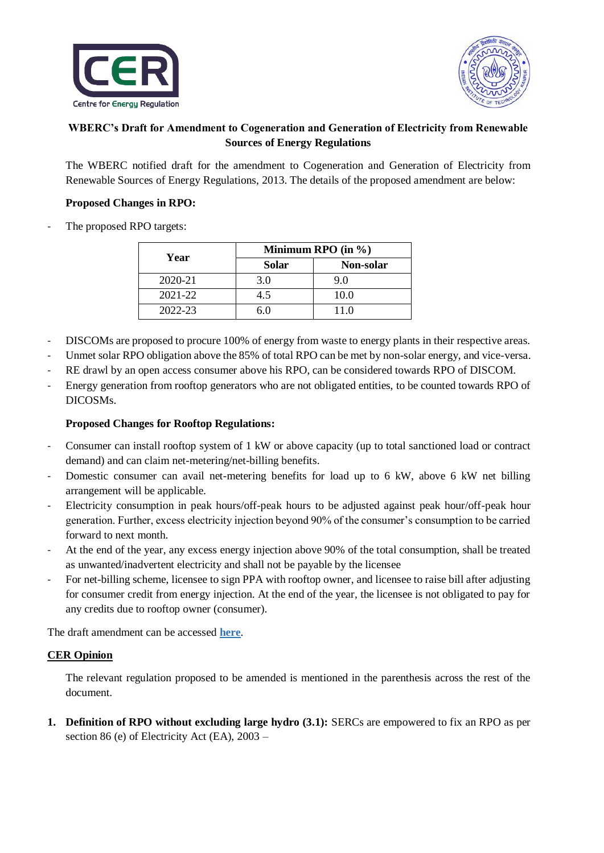



## **WBERC's Draft for Amendment to Cogeneration and Generation of Electricity from Renewable Sources of Energy Regulations**

The WBERC notified draft for the amendment to Cogeneration and Generation of Electricity from Renewable Sources of Energy Regulations, 2013. The details of the proposed amendment are below:

## **Proposed Changes in RPO:**

The proposed RPO targets:

| Year    | Minimum RPO (in $\%$ ) |           |
|---------|------------------------|-----------|
|         | <b>Solar</b>           | Non-solar |
| 2020-21 | 3.0                    | 9.0       |
| 2021-22 | 45                     | 10.0      |
| 2022-23 |                        | 11.0      |

- DISCOMs are proposed to procure 100% of energy from waste to energy plants in their respective areas.
- Unmet solar RPO obligation above the 85% of total RPO can be met by non-solar energy, and vice-versa.
- RE drawl by an open access consumer above his RPO, can be considered towards RPO of DISCOM.
- Energy generation from rooftop generators who are not obligated entities, to be counted towards RPO of DICOSMs.

## **Proposed Changes for Rooftop Regulations:**

- Consumer can install rooftop system of 1 kW or above capacity (up to total sanctioned load or contract demand) and can claim net-metering/net-billing benefits.
- Domestic consumer can avail net-metering benefits for load up to 6 kW, above 6 kW net billing arrangement will be applicable.
- Electricity consumption in peak hours/off-peak hours to be adjusted against peak hour/off-peak hour generation. Further, excess electricity injection beyond 90% of the consumer's consumption to be carried forward to next month.
- At the end of the year, any excess energy injection above 90% of the total consumption, shall be treated as unwanted/inadvertent electricity and shall not be payable by the licensee
- For net-billing scheme, licensee to sign PPA with rooftop owner, and licensee to raise bill after adjusting for consumer credit from energy injection. At the end of the year, the licensee is not obligated to pay for any credits due to rooftop owner (consumer).

The draft amendment can be accessed **[here](http://www.wberc.gov.in/sites/default/files/WBERC%28Cogenration%20and%20Generation%20of%20Electricity%20from%20Renewable%20Sources%20of%20Energy%29%28First%20Amendment%29%20Regulations%2C%202020.pdf)**.

## **CER Opinion**

The relevant regulation proposed to be amended is mentioned in the parenthesis across the rest of the document.

**1. Definition of RPO without excluding large hydro (3.1):** SERCs are empowered to fix an RPO as per section 86 (e) of Electricity Act (EA), 2003 –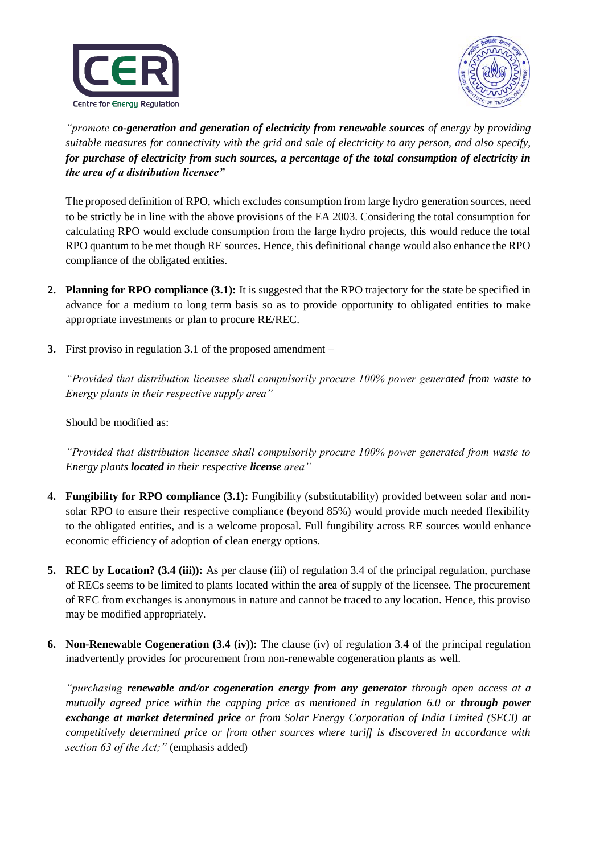



*"promote co-generation and generation of electricity from renewable sources of energy by providing suitable measures for connectivity with the grid and sale of electricity to any person, and also specify, for purchase of electricity from such sources, a percentage of the total consumption of electricity in the area of a distribution licensee"*

The proposed definition of RPO, which excludes consumption from large hydro generation sources, need to be strictly be in line with the above provisions of the EA 2003. Considering the total consumption for calculating RPO would exclude consumption from the large hydro projects, this would reduce the total RPO quantum to be met though RE sources. Hence, this definitional change would also enhance the RPO compliance of the obligated entities.

- **2. Planning for RPO compliance (3.1):** It is suggested that the RPO trajectory for the state be specified in advance for a medium to long term basis so as to provide opportunity to obligated entities to make appropriate investments or plan to procure RE/REC.
- **3.** First proviso in regulation 3.1 of the proposed amendment –

*"Provided that distribution licensee shall compulsorily procure 100% power generated from waste to Energy plants in their respective supply area"*

Should be modified as:

*"Provided that distribution licensee shall compulsorily procure 100% power generated from waste to Energy plants located in their respective license area"*

- **4. Fungibility for RPO compliance (3.1):** Fungibility (substitutability) provided between solar and nonsolar RPO to ensure their respective compliance (beyond 85%) would provide much needed flexibility to the obligated entities, and is a welcome proposal. Full fungibility across RE sources would enhance economic efficiency of adoption of clean energy options.
- **5. REC by Location? (3.4 (iii)):** As per clause (iii) of regulation 3.4 of the principal regulation, purchase of RECs seems to be limited to plants located within the area of supply of the licensee. The procurement of REC from exchanges is anonymous in nature and cannot be traced to any location. Hence, this proviso may be modified appropriately.
- **6. Non-Renewable Cogeneration (3.4 (iv)):** The clause (iv) of regulation 3.4 of the principal regulation inadvertently provides for procurement from non-renewable cogeneration plants as well.

*"purchasing renewable and/or cogeneration energy from any generator through open access at a mutually agreed price within the capping price as mentioned in regulation 6.0 or through power exchange at market determined price or from Solar Energy Corporation of India Limited (SECI) at competitively determined price or from other sources where tariff is discovered in accordance with section 63 of the Act;"* (emphasis added)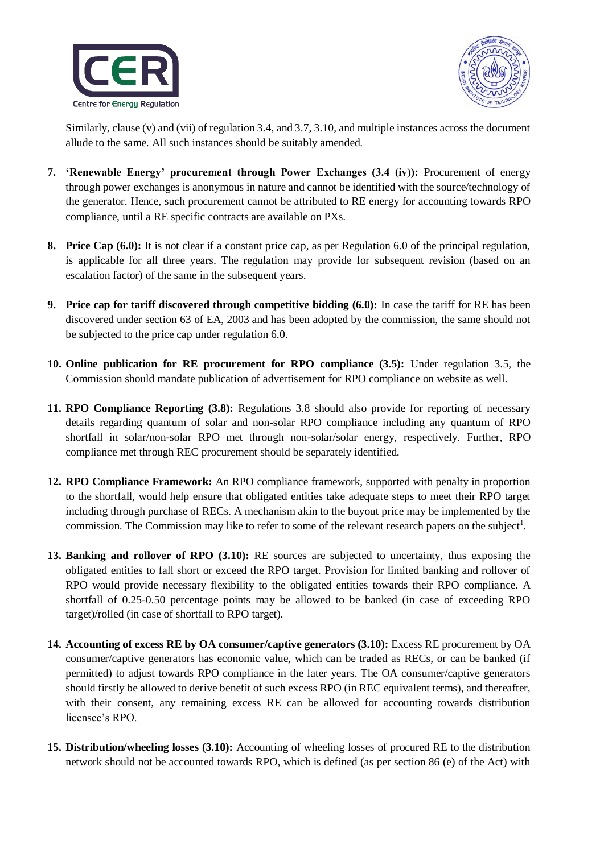



Similarly, clause (v) and (vii) of regulation 3.4, and 3.7, 3.10, and multiple instances across the document allude to the same. All such instances should be suitably amended.

- **7. 'Renewable Energy' procurement through Power Exchanges (3.4 (iv)):** Procurement of energy through power exchanges is anonymous in nature and cannot be identified with the source/technology of the generator. Hence, such procurement cannot be attributed to RE energy for accounting towards RPO compliance, until a RE specific contracts are available on PXs.
- **8. Price Cap (6.0):** It is not clear if a constant price cap, as per Regulation 6.0 of the principal regulation, is applicable for all three years. The regulation may provide for subsequent revision (based on an escalation factor) of the same in the subsequent years.
- **9. Price cap for tariff discovered through competitive bidding (6.0):** In case the tariff for RE has been discovered under section 63 of EA, 2003 and has been adopted by the commission, the same should not be subjected to the price cap under regulation 6.0.
- **10. Online publication for RE procurement for RPO compliance (3.5):** Under regulation 3.5, the Commission should mandate publication of advertisement for RPO compliance on website as well.
- **11. RPO Compliance Reporting (3.8):** Regulations 3.8 should also provide for reporting of necessary details regarding quantum of solar and non-solar RPO compliance including any quantum of RPO shortfall in solar/non-solar RPO met through non-solar/solar energy, respectively. Further, RPO compliance met through REC procurement should be separately identified.
- **12. RPO Compliance Framework:** An RPO compliance framework, supported with penalty in proportion to the shortfall, would help ensure that obligated entities take adequate steps to meet their RPO target including through purchase of RECs. A mechanism akin to the buyout price may be implemented by the commission. The Commission may like to refer to some of the relevant research papers on the subject<sup>1</sup>.
- **13. Banking and rollover of RPO (3.10):** RE sources are subjected to uncertainty, thus exposing the obligated entities to fall short or exceed the RPO target. Provision for limited banking and rollover of RPO would provide necessary flexibility to the obligated entities towards their RPO compliance. A shortfall of 0.25-0.50 percentage points may be allowed to be banked (in case of exceeding RPO target)/rolled (in case of shortfall to RPO target).
- **14. Accounting of excess RE by OA consumer/captive generators (3.10):** Excess RE procurement by OA consumer/captive generators has economic value, which can be traded as RECs, or can be banked (if permitted) to adjust towards RPO compliance in the later years. The OA consumer/captive generators should firstly be allowed to derive benefit of such excess RPO (in REC equivalent terms), and thereafter, with their consent, any remaining excess RE can be allowed for accounting towards distribution licensee's RPO.
- **15. Distribution/wheeling losses (3.10):** Accounting of wheeling losses of procured RE to the distribution network should not be accounted towards RPO, which is defined (as per section 86 (e) of the Act) with